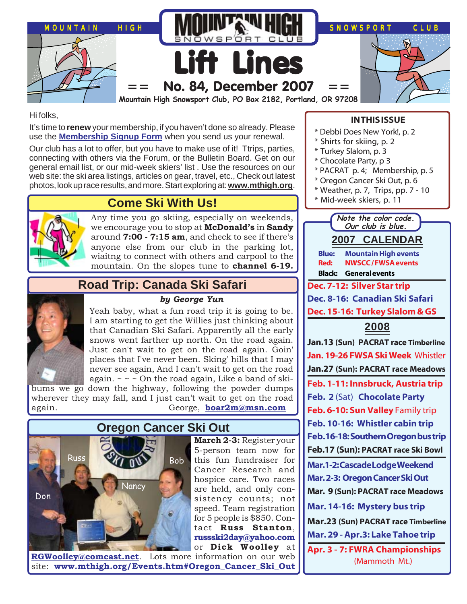

Hi folks,

It's time to **renew** your membership, if you haven't done so already. Please use the **[Membership Signup Form](http://www.mthigh.org/Documents/MembershipSignupForm.pdf)** when you send us your renewal.

Our club has a lot to offer, but you have to make use of it! Ttrips, parties, connecting with others via the Forum, or the Bulletin Board. Get on our general email list, or our mid-week skiers' list . Use the resources on our web site: the ski area listings, articles on gear, travel, etc., Check out latest photos, look up race results, and more. Start exploring at: **[www.mthigh.org](http://www.mthigh.org/)**.

### **Come Ski With Us!**



Any time you go skiing, especially on weekends, we encourage you to stop at **McDonald's** in **Sandy** around **7:00 - 7:15 am**, and check to see if there's anyone else from our club in the parking lot, wiaitng to connect with others and carpool to the mountain. On the slopes tune to **channel 6-19.**

### **Road Trip: Canada Ski Safari**



#### *by George Yun*

Yeah baby, what a fun road trip it is going to be. I am starting to get the Willies just thinking about that Canadian Ski Safari. Apparently all the early snows went farther up north. On the road again. Just can't wait to get on the road again. Goin' places that I've never been. Sking' hills that I may never see again, And I can't wait to get on the road again. ~ ~ ~ On the road again, Like a band of skibums we go down the highway, following the powder dumps

wherever they may fall, and I just can't wait to get on the road again. George, **[boar2m@msn.com](mailto:boar2m@msn.com)**



**March 2-3:** Register your 5-person team now for this fun fundraiser for Cancer Research and hospice care. Two races are held, and only consistency counts; not speed. Team registration for 5 people is \$850. Contact **Russ Stanton**, **[russski2day@yahoo.com](mailto:russski2day@yahoo.com)** or **Dick Woolley** at

**[RGWoolley@comcast.net](mailto:RGWoolley@comcast.net)**. Lots more information on our web site: **[www.mthigh.org/Events.htm#Oregon\\_Cancer\\_Ski\\_Out](http://www.mthigh.org/Events.htm#Oregon_Cancer_Ski_Out)**

#### **IN THIS ISSUE**

- \* Debbi Does New York!, p. 2
- \* Shirts for skiing, p. 2
- \* Turkey Slalom, p. 3
- \* Chocolate Party, p 3
- \* PACRAT p. 4; Membership, p. 5
- \* Oregon Cancer Ski Out, p. 6
- $*$  Weather, p. 7, Trips, pp. 7 10
- \* Mid-week skiers, p. 11

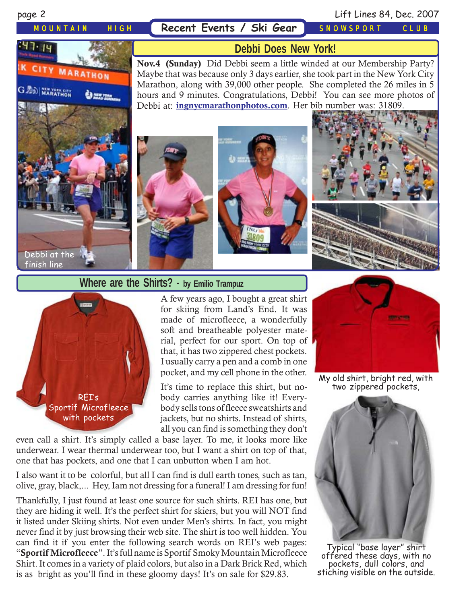MOUNTAIN HIGH **Recent Events / Ski Gear** SNOWSPORT CLUB

page 2 Lift Lines 84, Dec. 2007













### **Where are the Shirts? - by Emilio Trampuz**



A few years ago, I bought a great shirt for skiing from Land's End. It was made of microfleece, a wonderfully soft and breatheable polyester material, perfect for our sport. On top of that, it has two zippered chest pockets. I usually carry a pen and a comb in one pocket, and my cell phone in the other.

It's time to replace this shirt, but nobody carries anything like it! Everybody sells tons of fleece sweatshirts and jackets, but no shirts. Instead of shirts, all you can find is something they don't

even call a shirt. It's simply called a base layer. To me, it looks more like underwear. I wear thermal underwear too, but I want a shirt on top of that, one that has pockets, and one that I can unbutton when I am hot.

I also want it to be colorful, but all I can find is dull earth tones, such as tan, olive, gray, black,... Hey, Iam not dressing for a funeral! I am dressing for fun!

Thankfully, I just found at least one source for such shirts. REI has one, but they are hiding it well. It's the perfect shirt for skiers, but you will NOT find it listed under Skiing shirts. Not even under Men's shirts. In fact, you might never find it by just browsing their web site. The shirt is too well hidden. You can find it if you enter the following search words on REI's web pages: "**Sportif Microfleece**". It's full name is Sportif Smoky Mountain Microfleece Shirt. It comes in a variety of plaid colors, but also in a Dark Brick Red, which is as bright as you'll find in these gloomy days! It's on sale for \$29.83.



My old shirt, bright red, with two zippered pockets,



Typical "base layer" shirt offered these days, with no pockets, dull colors, and stiching visible on the outside.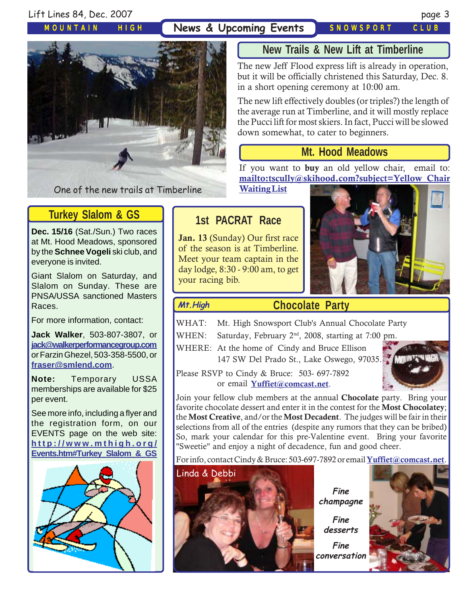#### Lift Lines 84, Dec. 2007 page 3

MOUNTAIN HIGH

#### News & Upcoming Events SNOWSPORT CLUB



One of the new trails at Timberline

#### **New Trails & New Lift at Timberline**

The new Jeff Flood express lift is already in operation, but it will be officially christened this Saturday, Dec. 8. in a short opening ceremony at 10:00 am.

The new lift effectively doubles (or triples?) the length of the average run at Timberline, and it will mostly replace the Pucci lift for most skiers. In fact, Pucci will be slowed down somewhat, to cater to beginners.

#### **Mt. Hood Meadows**

If you want to **buy** an old yellow chair, email to: **[mailto:tscully@skihood.com?subject=Yellow Chair](mailto:tscully@skihood.com?subject=Yellow Chair Waiting List) [Waiting List](mailto:tscully@skihood.com?subject=Yellow Chair Waiting List)**

### **Turkey Slalom & GS**

**Dec. 15/16** (Sat./Sun.) Two races at Mt. Hood Meadows, sponsored by the **Schnee Vogeli** ski club, and everyone is invited.

Giant Slalom on Saturday, and Slalom on Sunday. These are PNSA/USSA sanctioned Masters Races.

For more information, contact:

**Jack Walker**, 503-807-3807, or **[jack@walkerperformancegroup.com](mailto:jack@walkerperformancegroup.com)** or Farzin Ghezel, 503-358-5500, or **[fraser@smlend.com](mailto:fraser@smlend.com)**.

**Note:** Temporary USSA memberships are available for \$25 per event.

See more info, including a flyer and the registration form, on our EVENTS page on the web site: **[http://www.mthigh.org/](http://www.mthigh.org/Events.htm#Turkey_Slalom_&_GS) [Events.htm#Turkey\\_Slalom\\_&\\_GS](http://www.mthigh.org/Events.htm#Turkey_Slalom_&_GS)**



### **1st PACRAT Race**

**Jan. 13** (Sunday) Our first race of the season is at Timberline. Meet your team captain in the day lodge, 8:30 - 9:00 am, to get your racing bib.

**Mt.High**



#### **Chocolate Party**

WHAT: Mt. High Snowsport Club's Annual Chocolate Party

WHEN: Saturday, February 2<sup>nd</sup>, 2008, starting at 7:00 pm.

WHERE: At the home of Cindy and Bruce Ellison 147 SW Del Prado St., Lake Oswego, 97035.

Please RSVP to Cindy & Bruce: 503- 697-7892 or email **[Yuffiet@comcast.net](mailto:Yuffiet@comcast.net)**.

Join your fellow club members at the annual **Chocolate** party. Bring your favorite chocolate dessert and enter it in the contest for the **Most Chocolatey**; the **Most Creative**, and/or the **Most Decadent**. The judges will be fair in their selections from all of the entries (despite any rumors that they can be bribed) So, mark your calendar for this pre-Valentine event. Bring your favorite "Sweetie" and enjoy a night of decadence, fun and good cheer.

For info, contact Cindy & Bruce: 503-697-7892 or email **[Yuffiet@comcast.net](mailto:Yuffiet@comcast.net)**.



**Fine champagne Fine desserts**

**Fine conversation**

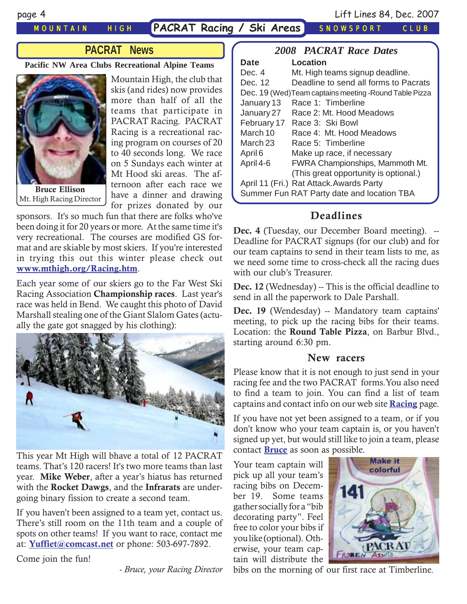MOUNTAIN HIGH **PACRAT Racing / Ski Areas** SNOWSPORT CLUB

#### **PACRAT News**

#### **Pacific NW Area Clubs Recreational Alpine Teams**



Mt. High Racing Director

Mountain High, the club that skis (and rides) now provides more than half of all the teams that participate in PACRAT Racing. PACRAT Racing is a recreational racing program on courses of 20 to 40 seconds long. We race on 5 Sundays each winter at Mt Hood ski areas. The afternoon after each race we have a dinner and drawing for prizes donated by our

sponsors. It's so much fun that there are folks who've been doing it for 20 years or more. At the same time it's very recreational. The courses are modified GS format and are skiable by most skiers. If you're interested in trying this out this winter please check out **[www.mthigh.org/Racing.htm](http://www.mthigh.org/Racing.htm)**.

Each year some of our skiers go to the Far West Ski Racing Association **Championship races**. Last year's race was held in Bend. We caught this photo of David Marshall stealing one of the Giant Slalom Gates (actually the gate got snagged by his clothing):



This year Mt High will bhave a total of 12 PACRAT teams. That's 120 racers! It's two more teams than last year. **Mike Weber**, after a year's hiatus has returned with the **Rocket Dawgs**, and the **Infrarats** are undergoing binary fission to create a second team.

If you haven't been assigned to a team yet, contact us. There's still room on the 11th team and a couple of spots on other teams! If you want to race, contact me at: **[Yuffiet@comcast.net](mailto:Yuffiet@comcast.net)** or phone: 503-697-7892.

Come join the fun!

*- Bruce, your Racing Director*

| <b>2008 PACRAT Race Dates</b>                           |                                          |  |  |  |  |  |  |
|---------------------------------------------------------|------------------------------------------|--|--|--|--|--|--|
| Date                                                    | Location                                 |  |  |  |  |  |  |
| Dec. 4                                                  | Mt. High teams signup deadline.          |  |  |  |  |  |  |
| Dec. 12                                                 | Deadline to send all forms to Pacrats    |  |  |  |  |  |  |
| Dec. 19 (Wed) Team captains meeting - Round Table Pizza |                                          |  |  |  |  |  |  |
| January 13                                              | Race 1: Timberline                       |  |  |  |  |  |  |
| January 27                                              | Race 2: Mt. Hood Meadows                 |  |  |  |  |  |  |
| February 17                                             | Race 3: Ski Bowl                         |  |  |  |  |  |  |
| March 10                                                | Race 4: Mt. Hood Meadows                 |  |  |  |  |  |  |
| March 23                                                | Race 5: Timberline                       |  |  |  |  |  |  |
| April 6                                                 | Make up race, if necessary               |  |  |  |  |  |  |
| April 4-6                                               | <b>FWRA Championships, Mammoth Mt.</b>   |  |  |  |  |  |  |
|                                                         | (This great opportunity is optional.)    |  |  |  |  |  |  |
|                                                         | April 11 (Fri.) Rat Attack. Awards Party |  |  |  |  |  |  |
| Summer Fun RAT Party date and location TBA              |                                          |  |  |  |  |  |  |

#### **Deadlines**

**Dec. 4** (Tuesday, our December Board meeting). -- Deadline for PACRAT signups (for our club) and for our team captains to send in their team lists to me, as we need some time to cross-check all the racing dues with our club's Treasurer.

**Dec. 12** (Wednesday) -- This is the official deadline to send in all the paperwork to Dale Parshall.

**Dec. 19** (Wendesday) -- Mandatory team captains' meeting, to pick up the racing bibs for their teams. Location: the **Round Table Pizza**, on Barbur Blvd., starting around 6:30 pm.

#### **New racers**

Please know that it is not enough to just send in your racing fee and the two PACRAT forms.You also need to find a team to join. You can find a list of team captains and contact info on our web site **[Racing](http://www.mthigh.org/Racing.htm)** page.

If you have not yet been assigned to a team, or if you don't know who your team captain is, or you haven't signed up yet, but would still like to join a team, please contact **[Bruce](mailto:Yuffiet@comcast.net)** as soon as possible.

Your team captain will pick up all your team's racing bibs on December 19. Some teams gather socially for a "bib decorating party". Feel free to color your bibs if you like (optional). Otherwise, your team captain will distribute the



bibs on the morning of our first race at Timberline.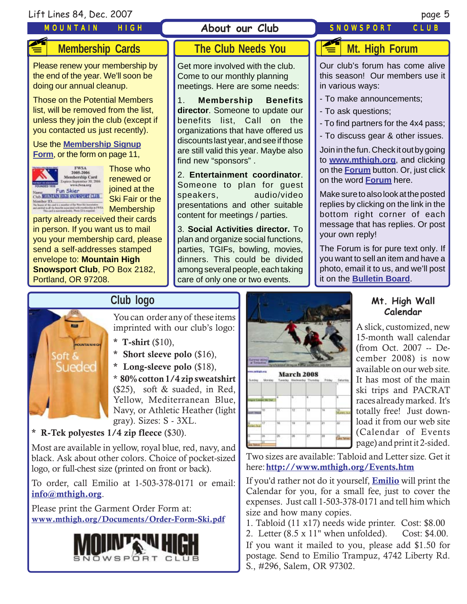#### Lift Lines 84, Dec. 2007 page 5

**FE** 

doing our annual cleanup.

FWSA<br>2005-2006<br>Membership Card pires September 30, 2<br>www.fwna.org

Name Fun Skier<br>Club **MOUNTAIN HUGH SNOWSPORT CLUB** 

#### MOUNTAIN HIGH

**Membership Cards**

Please renew your membership by the end of the year. We'll soon be

Those on the Potential Members list, will be removed from the list, unless they join the club (except if you contacted us just recently). Use the **[Membership Signup](http://www.mthigh.org/Documents/MembershipSignupForm.pdf) [Form](http://www.mthigh.org/Documents/MembershipSignupForm.pdf)**, or the form on page 11,

party already received their cards in person. If you want us to mail you your membership card, please send a self-addresses stamped envelope to: **Mountain High Snowsport Club**, PO Box 2182,

### About our Club SNOWSPORT CLUB

#### **The Club Needs You**

Get more involved with the club. Come to our monthly planning meetings. Here are some needs:

1. **Membership Benefits director**. Someone to update our benefits list, Call on the organizations that have offered us discounts last year, and see if those are still valid this year. Maybe also find new "sponsors" .

2. **Entertainment coordinator**. Someone to plan for guest speakers, audio/video presentations and other suitable content for meetings / parties.

3. **Social Activities director.** To plan and organize social functions, parties, TGIFs, bowling, movies, dinners. This could be divided among several people, each taking care of only one or two events.

# ~

**Mt. High Forum**

Our club's forum has come alive this season! Our members use it in various ways:

- To make announcements;
- To ask questions;
- To find partners for the 4x4 pass;
- To discuss gear & other issues.

Join in the fun. Check it out by going to **[www.mthigh.org](http://www.mthigh.org/)**, and clicking on the **[Forum](http://mthigh.org/tinc?key=AiBficmq&start=-1&epp=15&reverse=1)** button. Or, just click on the word **[Forum](http://mthigh.org/tinc?key=AiBficmq&start=-1&epp=15&reverse=1)** here.

Make sure to also look at the posted replies by clicking on the link in the bottom right corner of each message that has replies. Or post your own reply!

The Forum is for pure text only. If you want to sell an item and have a photo, email it to us, and we'll post it on the **[Bulletin Board](http://www.mthigh.org/BulletinBoard.htm)**.

#### **Club logo**

Those who renewed or joined at the Ski Fair or the **Membership** 

You can order any of these items imprinted with our club's logo:

- **\* T-shirt** (\$10),
- **\* Short sleeve polo** (\$16),
- **\* Long-sleeve polo** (\$18),

\* **80% cotton 1/4 zip sweatshirt** (\$25), soft & suaded, in Red, Yellow, Mediterranean Blue, Navy, or Athletic Heather (light gray). Sizes: S - 3XL.

**\* R-Tek polyestes 1/4 zip fleece** (\$30).

Most are available in yellow, royal blue, red, navy, and black. Ask about other colors. Choice of pocket-sized logo, or full-chest size (printed on front or back).

To order, call Emilio at 1-503-378-0171 or email: **[info@mthigh.org](mailto:info@mthigh.org)**.

Please print the Garment Order Form at: **[www.mthigh.org/Documents/Order-Form-Ski.pdf](http://www.mthigh.org/Documents/Order-Form-Ski.pdf)**





#### **Mt. High Wall Calendar**

A slick, customized, new 15-month wall calendar (from Oct. 2007 -- December 2008) is now available on our web site. It has most of the main ski trips and PACRAT races already marked. It's totally free! Just download it from our web site (Calendar of Events page) and print it 2-sided.

Two sizes are available: Tabloid and Letter size. Get it here: **<http://www.mthigh.org/Events.htm>**

If you'd rather not do it yourself, **[Emilio](mailto:Emilio2000@earthlink.net)** will print the Calendar for you, for a small fee, just to cover the expenses. Just call 1-503-378-0171 and tell him which size and how many copies.

1. Tabloid (11 x17) needs wide printer. Cost: \$8.00

2. Letter (8.5 x 11" when unfolded). Cost: \$4.00. If you want it mailed to you, please add \$1.50 for postage. Send to Emilio Trampuz, 4742 Liberty Rd. S., #296, Salem, OR 97302.



Portland, OR 97208.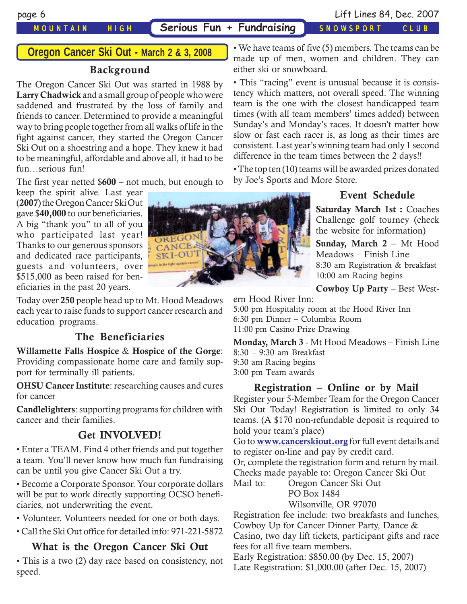MOUNTAIN HIGH **Serious Fun + Fundraising** SNOWSPORT CLUB

#### **Oregon Cancer Ski Out - March 2 & 3, 2008**

#### **Background**

The Oregon Cancer Ski Out was started in 1988 by **Larry Chadwick** and a small group of people who were saddened and frustrated by the loss of family and friends to cancer. Determined to provide a meaningful way to bring people together from all walks of life in the fight against cancer, they started the Oregon Cancer Ski Out on a shoestring and a hope. They knew it had to be meaningful, affordable and above all, it had to be fun…serious fun!

The first year netted \$**600** – not much, but enough to

keep the spirit alive. Last year (**2007**) the Oregon Cancer Ski Out gave \$**40,000** to our beneficiaries. A big "thank you" to all of you who participated last year! Thanks to our generous sponsors and dedicated race participants, guests and volunteers, over \$515,000 as been raised for beneficiaries in the past 20 years.

Today over **250** people head up to Mt. Hood Meadows each year to raise funds to support cancer research and education programs.

#### **The Beneficiaries**

**Willamette Falls Hospice** & **Hospice of the Gorge**: Providing compassionate home care and family support for terminally ill patients.

**OHSU Cancer Institute**: researching causes and cures for cancer

**Candlelighters**: supporting programs for children with cancer and their families.

#### **Get INVOLVED!**

• Enter a TEAM. Find 4 other friends and put together a team. You'll never know how much fun fundraising can be until you give Cancer Ski Out a try.

• Become a Corporate Sponsor. Your corporate dollars will be put to work directly supporting OCSO beneficiaries, not underwriting the event.

• Volunteer. Volunteers needed for one or both days.

• Call the Ski Out office for detailed info: 971-221-5872

#### **What is the Oregon Cancer Ski Out**

• This is a two (2) day race based on consistency, not speed.

**EGON** NCE

• We have teams of five (5) members. The teams can be made up of men, women and children. They can either ski or snowboard.

• This "racing" event is unusual because it is consistency which matters, not overall speed. The winning team is the one with the closest handicapped team times (with all team members' times added) between Sunday's and Monday's races. It doesn't matter how slow or fast each racer is, as long as their times are consistent. Last year's winning team had only 1 second difference in the team times between the 2 days!!

• The top ten (10) teams will be awarded prizes donated by Joe's Sports and More Store.

#### **Event Schedule**

**Saturday March 1st :** Coaches Challenge golf tourney (check the website for information)

**Sunday, March 2** – Mt Hood Meadows – Finish Line 8:30 am Registration & breakfast 10:00 am Racing begins

**Cowboy Up Party** – Best West-

ern Hood River Inn:

5:00 pm Hospitality room at the Hood River Inn 6:30 pm Dinner – Columbia Room 11:00 pm Casino Prize Drawing

**Monday, March 3** - Mt Hood Meadows – Finish Line 8:30 – 9:30 am Breakfast 9:30 am Racing begins 3:00 pm Team awards

#### **Registration – Online or by Mail**

Register your 5-Member Team for the Oregon Cancer Ski Out Today! Registration is limited to only 34 teams. (A \$170 non-refundable deposit is required to hold your team's place)

Go to **[www.cancerskiout.org](http://www.cancerskiout.org/)** for full event details and to register on-line and pay by credit card.

Or, complete the registration form and return by mail. Checks made payable to: Oregon Cancer Ski Out

Mail to: Oregon Cancer Ski Out PO Box 1484

Wilsonville, OR 97070

Registration fee include: two breakfasts and lunches, Cowboy Up for Cancer Dinner Party, Dance & Casino, two day lift tickets, participant gifts and race

fees for all five team members.

Early Registration: \$850.00 (by Dec. 15, 2007) Late Registration: \$1,000.00 (after Dec. 15, 2007)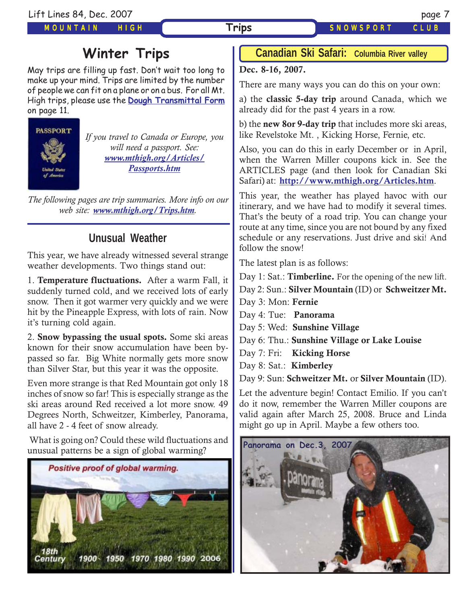#### MOUNTAIN HIGH

## **Winter Trips**

May trips are filling up fast. Don't wait too long to make up your mind. Trips are limited by the number of people we can fit on a plane or on a bus. For all Mt. High trips, please use the **[Dough Transmittal Form](http://www.mthigh.org/Documents/DOUGH%20TRANSMITTAL%20FORM.pdf)** on page 11.



*If you travel to Canada or Europe, you will need a passport. See: [www.mthigh.org/Articles/](http://www.mthigh.org/Articles/Passports.htm) [Passports.htm](http://www.mthigh.org/Articles/Passports.htm)*

*The following pages are trip summaries. More info on our web site: [www.mthigh.org/Trips.htm](http://www.mthigh.org/Trips.htm).*

#### **Unusual Weather**

This year, we have already witnessed several strange weather developments. Two things stand out:

1. **Temperature fluctuations.** After a warm Fall, it suddenly turned cold, and we received lots of early snow. Then it got warmer very quickly and we were hit by the Pineapple Express, with lots of rain. Now it's turning cold again.

2. **Snow bypassing the usual spots.** Some ski areas known for their snow accumulation have been bypassed so far. Big White normally gets more snow than Silver Star, but this year it was the opposite.

Even more strange is that Red Mountain got only 18 inches of snow so far! This is especially strange as the ski areas around Red received a lot more snow. 49 Degrees North, Schweitzer, Kimberley, Panorama, all have 2 - 4 feet of snow already.

 What is going on? Could these wild fluctuations and unusual patterns be a sign of global warming?



#### **Canadian Ski Safari: Columbia River valley**

**Dec. 8-16, 2007.**

There are many ways you can do this on your own:

a) the **classic 5-day trip** around Canada, which we already did for the past 4 years in a row.

b) the **new 8or 9-day trip** that includes more ski areas, like Revelstoke Mt. , Kicking Horse, Fernie, etc.

Also, you can do this in early December or in April, when the Warren Miller coupons kick in. See the ARTICLES page (and then look for Canadian Ski Safari) at: **<http://www.mthigh.org/Articles.htm>**.

This year, the weather has played havoc with our itinerary, and we have had to modify it several times. That's the beuty of a road trip. You can change your route at any time, since you are not bound by any fixed schedule or any reservations. Just drive and ski! And follow the snow!  $\alpha$  one skill

The latest plan is as follows:

Day 1: Sat.: **Timberline.** For the opening of the new lift.

Day 2: Sun.: **Silver Mountain** (ID) or **Schweitzer Mt.**

Day 3: Mon: **Fernie**

Day 4: Tue: **Panorama**

Day 5: Wed: **Sunshine Village**

Day 6: Thu.: **Sunshine Village or Lake Louise**

Day 7: Fri: **Kicking Horse**

Day 8: Sat.: **Kimberley**

Day 9: Sun: **Schweitzer Mt.** or **Silver Mountain** (ID).

Let the adventure begin! Contact Emilio. If you can't do it now, remember the Warren Miller coupons are valid again after March 25, 2008. Bruce and Linda might go up in April. Maybe a few others too.

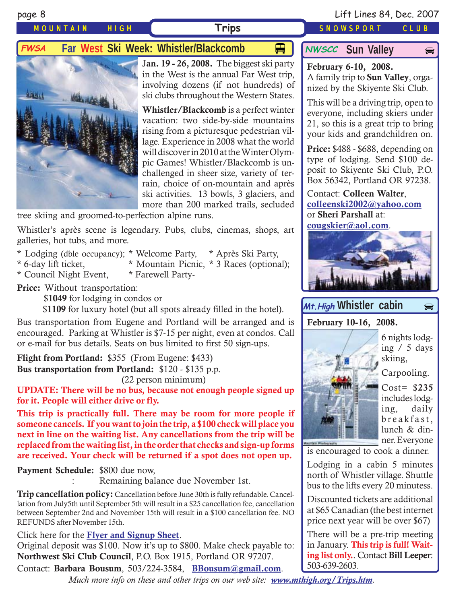#### MOUNTAIN HIGH **Trips** SNOWSPORT CLUB

 $\bigoplus$ 

## **FWSA** Far West Ski Week: Whistler/Blackcomb  $\Box$  MWSCC Sun Valley



J**an. 19 - 26, 2008.** The biggest ski party in the West is the annual Far West trip, involving dozens (if not hundreds) of ski clubs throughout the Western States.

**Whistler/Blackcomb** is a perfect winter vacation: two side-by-side mountains rising from a picturesque pedestrian village. Experience in 2008 what the world will discover in 2010 at the Winter Olympic Games! Whistler/Blackcomb is unchallenged in sheer size, variety of terrain, choice of on-mountain and après ski activities. 13 bowls, 3 glaciers, and more than 200 marked trails, secluded

tree skiing and groomed-to-perfection alpine runs.

Whistler's après scene is legendary. Pubs, clubs, cinemas, shops, art galleries, hot tubs, and more.

- \* Lodging (dble occupancy); \* Welcome Party, \* Après Ski Party,
- \* 6-day lift ticket, \* Mountain Picnic, \* 3 Races (optional);
	-
- \* Council Night Event, \* Farewell Party-

**Price:** Without transportation:

\$**1049** for lodging in condos or

\$**1109** for luxury hotel (but all spots already filled in the hotel).

Bus transportation from Eugene and Portland will be arranged and is encouraged. Parking at Whistler is \$7-15 per night, even at condos. Call or e-mail for bus details. Seats on bus limited to first 50 sign-ups.

**Flight from Portland:** \$355 (From Eugene: \$433) **Bus transportation from Portland:** \$120 - \$135 p.p. (22 person minimum)

**UPDATE: There will be no bus, because not enough people signed up for it. People will either drive or fly.**

**This trip is practically full. There may be room for more people if someone cancels. If you want to join the trip, a \$100 check will place you next in line on the waiting list. Any cancellations from the trip will be replaced from the waiting list, in the order that checks and sign-up forms are received. Your check will be returned if a spot does not open up.**

**Payment Schedule:** \$800 due now,

Remaining balance due November 1st.

**Trip cancellation policy:** Cancellation before June 30th is fully refundable. Cancellation from July5th until September 5th will result in a \$25 cancellation fee, cancellation between September 2nd and November 15th will result in a \$100 cancellation fee. NO REFUNDS after November 15th.

Click here for the **[Flyer and Signup Sheet](http://www.mthigh.org/Trips/2008-FWSA-Whistler-flier.pdf)**.

Original deposit was \$100. Now it's up to \$800. Make check payable to: **Northwest Ski Club Council**, P.O. Box 1915, Portland OR 97207.

Contact: **Barbara Bousum**, 503/224-3584, **[BBousum@gmail.com](mailto:BBousum@gmail.com)**.

*Much more info on these and other trips on our web site: [www.mthigh.org/Trips.htm](http://www.mthigh.org/Trips.htm).*

#### **NWSCC** Sun Valley

**February 6-10, 2008.** A family trip to **Sun Valley**, orga-

nized by the Skiyente Ski Club. This will be a driving trip, open to everyone, including skiers under 21, so this is a great trip to bring

your kids and grandchildren on.

**Price:** \$488 - \$688, depending on type of lodging. Send \$100 deposit to Skiyente Ski Club, P.O. Box 56342, Portland OR 97238.

Contact: **Colleen Walter**, **[colleenski2002@yahoo.com](mailto:colleenski2002@yahoo.com)** or **Sheri Parshall** at: **[cougskier@aol.com](mailto:cougskier@aol.com)**.



Mt.High Whistler cabin  $\Rightarrow$ 

**February 10-16, 2008.**



6 nights lodging / 5 days skiing,

Carpooling.

Cost= \$**235** includes lodging, daily breakfast, lunch & dinner. Everyone

is encouraged to cook a dinner.

Lodging in a cabin 5 minutes north of Whistler village. Shuttle bus to the lifts every 20 minutess.

Discounted tickets are additional at \$65 Canadian (the best internet price next year will be over \$67)

There will be a pre-trip meeting in January. **This trip is full! Waiting list only.**. Contact **Bill Leeper**: 503-639-2603.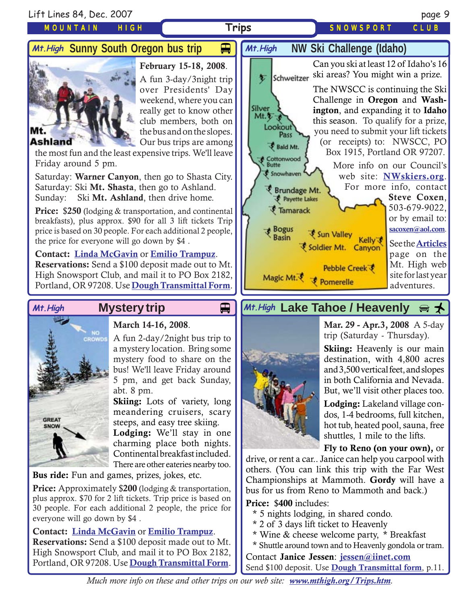

**Reservations:** Send a \$100 deposit made out to Mt. \* Wine & cheese welcome party, \* Breakfast

\* Shuttle around town and to Heavenly gondola or tram. Contact **Janice Jessen**: **[jessen@iinet.com](mailto:jessen@iinet.com)** Send \$100 deposit. Use **[Dough Transmittal form](http://www.mthigh.org/Documents/DOUGH%20TRANSMITTAL%20FORM.pdf)**, p.11.

*Much more info on these and other trips on our web site: [www.mthigh.org/Trips.htm](http://www.mthigh.org/Trips.htm).*

High Snowsport Club, and mail it to PO Box 2182, Portland, OR 97208. Use **[Dough Transmittal Form](http://www.mthigh.org/Documents/DOUGH%20TRANSMITTAL%20FORM.pdf)**.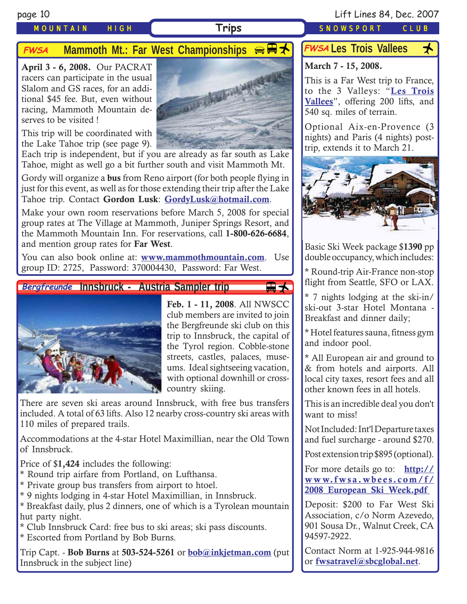#### MOUNTAIN HIGH **Trips** SNOWSPORT CLUB

page 10 Lift Lines 84, Dec. 2007

## **FWSA** Mammoth Mt.: Far West Championships  $\bigoplus$   $\mathbb{R}$   $\star$

**April 3 - 6, 2008.** Our PACRAT racers can participate in the usual Slalom and GS races, for an additional \$45 fee. But, even without racing, Mammoth Mountain deserves to be visited !



This trip will be coordinated with the Lake Tahoe trip (see page 9).

Each trip is independent, but if you are already as far south as Lake Tahoe, might as well go a bit further south and visit Mammoth Mt.

Gordy will organize a **bus** from Reno airport (for both people flying in just for this event, as well as for those extending their trip after the Lake Tahoe trip. Contact **Gordon Lusk**: **[GordyLusk@hotmail.com](mailto:gordylusk@hotmail.com)**.

Make your own room reservations before March 5, 2008 for special group rates at The Village at Mammoth, Juniper Springs Resort, and the Mammoth Mountain Inn. For reservations, call **1-800-626-6684**, and mention group rates for **Far West**.

You can also book online at: **[www.mammothmountain.com](http://www.mammothmountain.com/)**. Use group ID: 2725, Password: 370004430, Password: Far West.

#### Bergfreunde Innsbruck - Austria Sampler trip



**Feb. 1 - 11, 2008**. All NWSCC club members are invited to join the Bergfreunde ski club on this trip to Innsbruck, the capital of the Tyrol region. Cobble-stone streets, castles, palaces, museums. Ideal sightseeing vacation, with optional downhill or crosscountry skiing.

<del>国</del>大

There are seven ski areas around Innsbruck, with free bus transfers included. A total of 63 lifts. Also 12 nearby cross-country ski areas with 110 miles of prepared trails.

Accommodations at the 4-star Hotel Maximillian, near the Old Town of Innsbruck.

Price of \$**1,424** includes the following:

- \* Round trip airfare from Portland, on Lufthansa.
- \* Private group bus transfers from airport to htoel.
- \* 9 nights lodging in 4-star Hotel Maximillian, in Innsbruck.
- \* Breakfast daily, plus 2 dinners, one of which is a Tyrolean mountain hut party night.

\* Club Innsbruck Card: free bus to ski areas; ski pass discounts.

\* Escorted from Portland by Bob Burns.

Trip Capt. - **Bob Burns** at **503-524-5261** or **[bob@inkjetman.com](mailto:bob@inkjetman.com)** (put Innsbruck in the subject line)

### FWSA Les Trois Vallees <del>人</del>

#### **March 7 - 15, 2008.**

This is a Far West trip to France, to the 3 Valleys: "**[Les Trois](http://www.mthigh.org/Trips.htm#Les_Trois_Vallees) [Vallees](http://www.mthigh.org/Trips.htm#Les_Trois_Vallees)**", offering 200 lifts, and 540 sq. miles of terrain.

Optional Aix-en-Provence (3 nights) and Paris (4 nights) posttrip, extends it to March 21.



Basic Ski Week package \$**1390** pp double occupancy, which includes:

\* Round-trip Air-France non-stop flight from Seattle, SFO or LAX.

\* 7 nights lodging at the ski-in/ ski-out 3-star Hotel Montana - Breakfast and dinner daily;

\* Hotel features sauna, fitness gym and indoor pool.

\* All European air and ground to & from hotels and airports. All local city taxes, resort fees and all other known fees in all hotels.

This is an incredible deal you don't want to miss!

Not Included: Int'l Departure taxes and fuel surcharge - around \$270.

Post extension trip \$895 (optional).

For more details go to: **[http://](http://www.fwsa.wbees.com/f/2008_European_Ski_Week.pdf ) [www.fwsa.wbees.com/f/](http://www.fwsa.wbees.com/f/2008_European_Ski_Week.pdf ) [2008\\_European\\_Ski\\_Week.pdf](http://www.fwsa.wbees.com/f/2008_European_Ski_Week.pdf )**

Deposit: \$200 to Far West Ski Association, c/o Norm Azevedo, 901 Sousa Dr., Walnut Creek, CA 94597-2922.

Contact Norm at 1-925-944-9816 or **[fwsatravel@sbcglobal.net](mailto:fwsatravel@sbcglobal.net)**.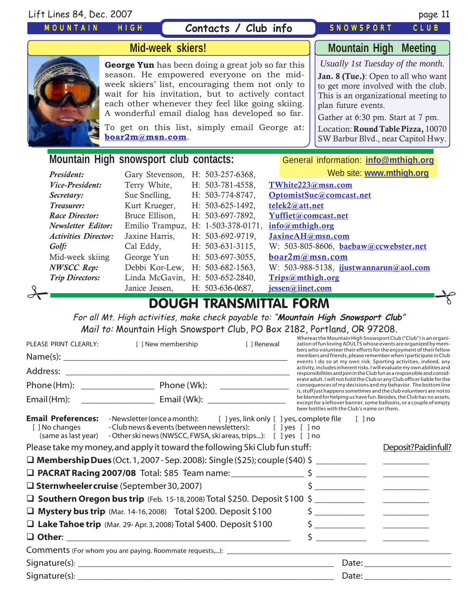#### Lift Lines 84, Dec. 2007 page 11

#### MOUNTAIN HIGH

#### **Contacts / Club info**

#### SNOWSPORT CLUB

**Mountain High Meeting**

*Usually 1st Tuesday of the month.* **Jan. 8 (Tue.)**: Open to all who want to get more involved with the club. This is an organizational meeting to

Gather at 6:30 pm. Start at 7 pm. Location: **Round Table Pizza,** 10070 SW Barbur Blvd., near Capitol Hwy.



#### **Mid-week skiers!**

**George Yun** has been doing a great job so far this season. He empowered everyone on the midweek skiers' list, encouraging them not only to wait for his invitation, but to actively contact each other whenever they feel like going skiing. A wonderful email dialog has developed so far.

To get on this list, simply email George at: **[boar2m@msn.com](mailto:boar2m@msn.com)**.

# **Mountain High snowsport club contacts:** General information: *[info@mthigh.org](mailto:info@MtHigh.org)*

plan future events.

| President:                  | Gary Stevenson,                    | $H: 503-257-6368$             | Web site: www.mthigh.org               |  |
|-----------------------------|------------------------------------|-------------------------------|----------------------------------------|--|
| <i>Vice-President:</i>      | Terry White,                       | H: 503-781-4558,              | TWhite223@msn.com                      |  |
| Secretary:                  | Sue Snelling,                      | H: 503-774-8747,              | OptomistSue@comcast.net                |  |
| <i>Treasurer:</i>           | Kurt Krueger,                      | $H: 503-625-1492,$            | telek2@att.net                         |  |
| Race Director:              | Bruce Ellison,                     | H: 503-697-7892,              | Yuffiet@comcast.net                    |  |
| <b>Newsletter Editor:</b>   | Emilio Trampuz, H: 1-503-378-0171, |                               | info@mthigh.org                        |  |
| <b>Activities Director:</b> | Jaxine Harris,                     | $H: 503-692-9719,$            | JaxineAH@msn.com                       |  |
| Golf:                       | Cal Eddy,                          | $H: 503-631-3115,$            | W: 503-805-8606, baebaw@ccwebster.net  |  |
| Mid-week skiing             | George Yun                         | $H: 503-697-3055$ ,           | boar2m@msn.com                         |  |
| <b>NWSCC Rep:</b>           | Debbi Kor-Lew,                     | $H: 503-682-1563,$            | W: 503-988-5138, ijustwannarun@aol.com |  |
| <b>Trip Directors:</b>      | Linda McGavin, H: 503-652-2840,    |                               | Trips@mthigh.org                       |  |
|                             | Janice Jessen,                     | H: 503-636-0687,              | jessen@iinet.com                       |  |
|                             |                                    | <b>DOUGH TRANSMITTAL FORM</b> |                                        |  |

For all Mt. High activities, make check payable to: "**Mountain High Snowsport Club**" Mail to: Mountain High Snowsport Club, PO Box 2182, Portland, OR 97208.

| PLEASE PRINT CLEARLY:     | [ ] New membership                                                                                                                                                                                                                               | [ ] Renewal | Whereas the Mountain High Snowsport Club ("Club") is an organi-<br>zation of fun loving ADULTS whose events are organized by mem-<br>bers who volunteer their efforts for the enjoyment of their fellow |                                                                                                                                                                                                                                                                                                                                                                                                                                                                                                                                                                      |  |  |
|---------------------------|--------------------------------------------------------------------------------------------------------------------------------------------------------------------------------------------------------------------------------------------------|-------------|---------------------------------------------------------------------------------------------------------------------------------------------------------------------------------------------------------|----------------------------------------------------------------------------------------------------------------------------------------------------------------------------------------------------------------------------------------------------------------------------------------------------------------------------------------------------------------------------------------------------------------------------------------------------------------------------------------------------------------------------------------------------------------------|--|--|
|                           |                                                                                                                                                                                                                                                  |             |                                                                                                                                                                                                         | members and friends, please remember when I participate in Club<br>events I do so at my own risk. Sporting activities, indeed, any                                                                                                                                                                                                                                                                                                                                                                                                                                   |  |  |
|                           |                                                                                                                                                                                                                                                  |             |                                                                                                                                                                                                         | activity, includes inherent risks. I will evaluate my own abilities and<br>responsibilities and join in the Club fun as a responsible and consid-                                                                                                                                                                                                                                                                                                                                                                                                                    |  |  |
|                           |                                                                                                                                                                                                                                                  |             |                                                                                                                                                                                                         | erate adult. I will not hold the Club or any Club officer liable for the<br>consequences of my decisions and my behavior. The bottom line                                                                                                                                                                                                                                                                                                                                                                                                                            |  |  |
|                           |                                                                                                                                                                                                                                                  |             | beer bottles with the Club's name on them.                                                                                                                                                              | is, stuff just happens sometimes and the club volunteers are not to<br>be blamed for helping us have fun. Besides, the Club has no assets,<br>except for a leftover banner, some balloons, or a couple of empty                                                                                                                                                                                                                                                                                                                                                      |  |  |
| <b>Email Preferences:</b> | -Newsletter (once a month): [ ] yes, link only [ ] yes, complete file [ ] no<br>[] No changes - Club news & events (between newsletters): [ ] yes [ ] no<br>(same as last year) - Other ski news (NWSCC, FWSA, ski areas, trips): [ ] yes [ ] no |             |                                                                                                                                                                                                         |                                                                                                                                                                                                                                                                                                                                                                                                                                                                                                                                                                      |  |  |
|                           | Please take my money, and apply it toward the following Ski Club fun stuff:                                                                                                                                                                      |             |                                                                                                                                                                                                         | Deposit?Paidinfull?                                                                                                                                                                                                                                                                                                                                                                                                                                                                                                                                                  |  |  |
|                           | $\Box$ Membership Dues (Oct. 1, 2007 - Sep. 2008): Single (\$25); couple (\$40) \$                                                                                                                                                               |             |                                                                                                                                                                                                         | $\overline{\phantom{a}}$                                                                                                                                                                                                                                                                                                                                                                                                                                                                                                                                             |  |  |
|                           |                                                                                                                                                                                                                                                  |             |                                                                                                                                                                                                         |                                                                                                                                                                                                                                                                                                                                                                                                                                                                                                                                                                      |  |  |
|                           | $\Box$ Sternwheeler cruise (September 30, 2007)                                                                                                                                                                                                  |             |                                                                                                                                                                                                         | $\begin{tabular}{c} $ \small{ \small{5} \end{tabular} } \begin{tabular}{c} \multicolumn{3}{c} {\begin{tabular}{@{2}c} \multicolumn{3}{c} {\includegraphics{}} \end{tabular} } \end{tabular} \begin{tabular}{c} \multicolumn{3}{c} {\includegraphics{}} \end{tabular} } \begin{tabular}{c} \multicolumn{3}{c} {\includegraphics{}} \end{tabular} \begin{tabular}{c} \multicolumn{3}{c} {\includegraphics{}} \end{tabular} } \end{tabular} \begin{tabular}{c} \multicolumn{3}{c} {\includegraphics{}} \end{tabular} } \begin{tabular}{c} \multicolumn{3}{c} {\include$ |  |  |
|                           | □ Southern Oregon bus trip (Feb. 15-18, 2008) Total \$250. Deposit \$100 \$                                                                                                                                                                      |             |                                                                                                                                                                                                         |                                                                                                                                                                                                                                                                                                                                                                                                                                                                                                                                                                      |  |  |
|                           | $\Box$ Mystery bus trip (Mar. 14-16, 2008) Total \$200. Deposit \$100                                                                                                                                                                            |             |                                                                                                                                                                                                         | $\frac{1}{2}$ $\frac{1}{2}$ $\frac{1}{2}$ $\frac{1}{2}$ $\frac{1}{2}$ $\frac{1}{2}$ $\frac{1}{2}$ $\frac{1}{2}$ $\frac{1}{2}$ $\frac{1}{2}$ $\frac{1}{2}$ $\frac{1}{2}$ $\frac{1}{2}$ $\frac{1}{2}$ $\frac{1}{2}$ $\frac{1}{2}$ $\frac{1}{2}$ $\frac{1}{2}$ $\frac{1}{2}$ $\frac{1}{2}$ $\frac{1}{2}$ $\frac{1}{2}$                                                                                                                                                                                                                                                  |  |  |
|                           | $\Box$ Lake Tahoe trip (Mar. 29- Apr. 3, 2008) Total \$400. Deposit \$100                                                                                                                                                                        |             |                                                                                                                                                                                                         |                                                                                                                                                                                                                                                                                                                                                                                                                                                                                                                                                                      |  |  |
|                           |                                                                                                                                                                                                                                                  |             |                                                                                                                                                                                                         |                                                                                                                                                                                                                                                                                                                                                                                                                                                                                                                                                                      |  |  |
|                           |                                                                                                                                                                                                                                                  |             |                                                                                                                                                                                                         |                                                                                                                                                                                                                                                                                                                                                                                                                                                                                                                                                                      |  |  |
|                           |                                                                                                                                                                                                                                                  |             |                                                                                                                                                                                                         |                                                                                                                                                                                                                                                                                                                                                                                                                                                                                                                                                                      |  |  |
|                           |                                                                                                                                                                                                                                                  |             | Date:                                                                                                                                                                                                   | <u> 2008 - Johann John Stone, mars et al. (</u>                                                                                                                                                                                                                                                                                                                                                                                                                                                                                                                      |  |  |